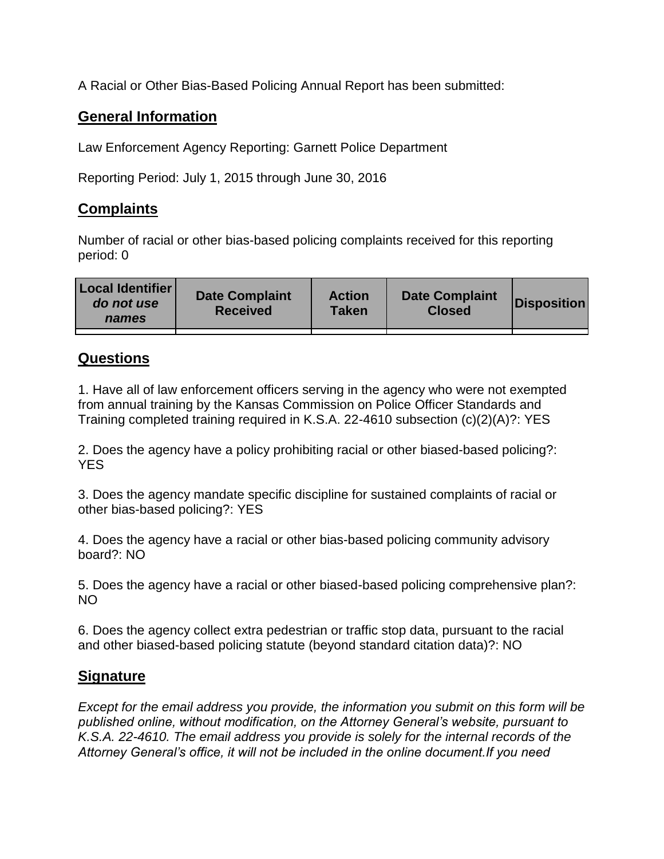A Racial or Other Bias-Based Policing Annual Report has been submitted:

## **General Information**

Law Enforcement Agency Reporting: Garnett Police Department

Reporting Period: July 1, 2015 through June 30, 2016

## **Complaints**

Number of racial or other bias-based policing complaints received for this reporting period: 0

| <b>Local Identifier</b><br>do not use<br>names | <b>Date Complaint</b><br><b>Received</b> | <b>Action</b><br><b>Taken</b> | <b>Date Complaint</b><br><b>Closed</b> | Disposition |
|------------------------------------------------|------------------------------------------|-------------------------------|----------------------------------------|-------------|
|                                                |                                          |                               |                                        |             |

## **Questions**

1. Have all of law enforcement officers serving in the agency who were not exempted from annual training by the Kansas Commission on Police Officer Standards and Training completed training required in K.S.A. 22-4610 subsection (c)(2)(A)?: YES

2. Does the agency have a policy prohibiting racial or other biased-based policing?: YES

3. Does the agency mandate specific discipline for sustained complaints of racial or other bias-based policing?: YES

4. Does the agency have a racial or other bias-based policing community advisory board?: NO

5. Does the agency have a racial or other biased-based policing comprehensive plan?: NO

6. Does the agency collect extra pedestrian or traffic stop data, pursuant to the racial and other biased-based policing statute (beyond standard citation data)?: NO

## **Signature**

*Except for the email address you provide, the information you submit on this form will be published online, without modification, on the Attorney General's website, pursuant to K.S.A. 22-4610. The email address you provide is solely for the internal records of the Attorney General's office, it will not be included in the online document.If you need*